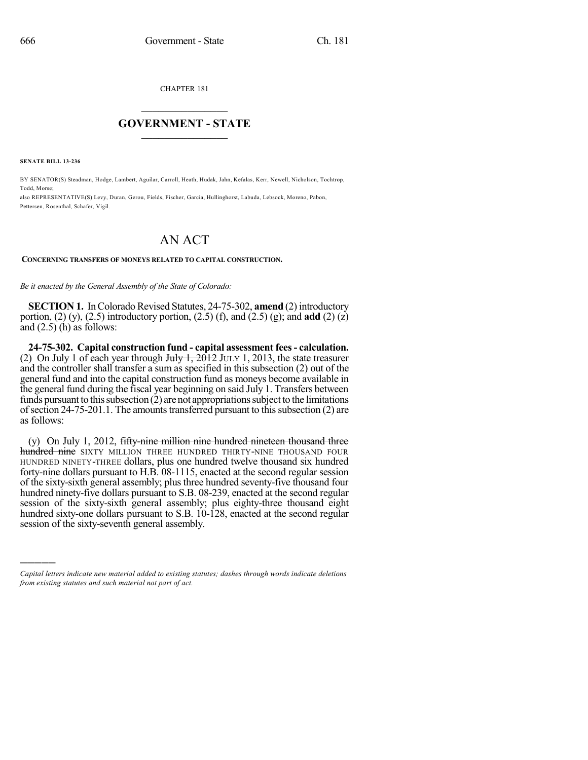CHAPTER 181

## $\overline{\phantom{a}}$  . The set of the set of the set of the set of the set of the set of the set of the set of the set of the set of the set of the set of the set of the set of the set of the set of the set of the set of the set o **GOVERNMENT - STATE**  $\_$

**SENATE BILL 13-236**

)))))

BY SENATOR(S) Steadman, Hodge, Lambert, Aguilar, Carroll, Heath, Hudak, Jahn, Kefalas, Kerr, Newell, Nicholson, Tochtrop, Todd, Morse;

also REPRESENTATIVE(S) Levy, Duran, Gerou, Fields, Fischer, Garcia, Hullinghorst, Labuda, Lebsock, Moreno, Pabon, Pettersen, Rosenthal, Schafer, Vigil.

## AN ACT

## **CONCERNING TRANSFERS OF MONEYS RELATED TO CAPITAL CONSTRUCTION.**

*Be it enacted by the General Assembly of the State of Colorado:*

**SECTION 1.** In Colorado Revised Statutes, 24-75-302, **amend** (2) introductory portion, (2) (y), (2.5) introductory portion, (2.5) (f), and (2.5) (g); and **add** (2) (z) and  $(2.5)$  (h) as follows:

**24-75-302. Capital construction fund - capital assessment fees- calculation.** (2) On July 1 of each year through  $\frac{\text{H}_1 + 2012}{\text{H}_2 + 2013}$ , the state treasurer and the controller shall transfer a sum as specified in this subsection (2) out of the general fund and into the capital construction fund as moneys become available in the general fund during the fiscal year beginning on said July 1. Transfers between funds pursuant to this subsection  $(2)$  are not appropriations subject to the limitations of section  $24-75-201.1$ . The amounts transferred pursuant to this subsection  $(2)$  are as follows:

 $(y)$  On July 1, 2012, fifty-nine million nine hundred nineteen thousand three hundred nine SIXTY MILLION THREE HUNDRED THIRTY-NINE THOUSAND FOUR HUNDRED NINETY-THREE dollars, plus one hundred twelve thousand six hundred forty-nine dollars pursuant to H.B. 08-1115, enacted at the second regular session of the sixty-sixth general assembly; plus three hundred seventy-five thousand four hundred ninety-five dollars pursuant to S.B. 08-239, enacted at the second regular session of the sixty-sixth general assembly; plus eighty-three thousand eight hundred sixty-one dollars pursuant to S.B. 10-128, enacted at the second regular session of the sixty-seventh general assembly.

*Capital letters indicate new material added to existing statutes; dashes through words indicate deletions from existing statutes and such material not part of act.*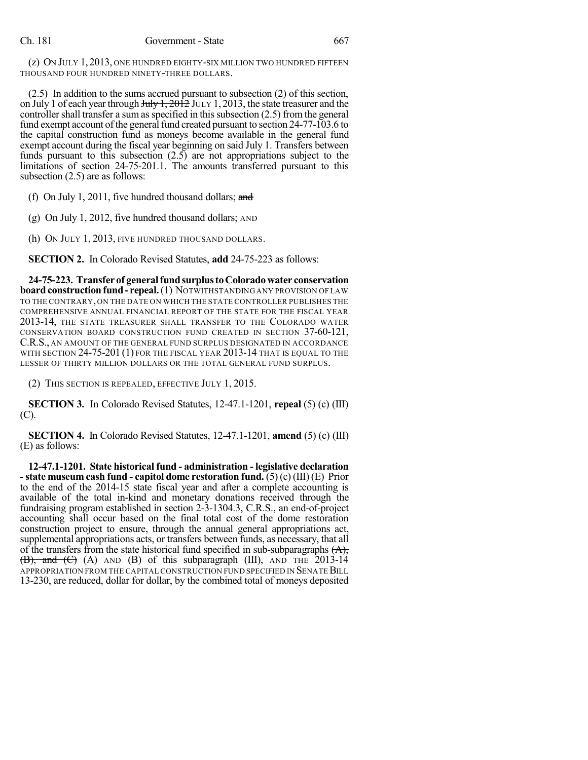(z) ON JULY 1, 2013, ONE HUNDRED EIGHTY-SIX MILLION TWO HUNDRED FIFTEEN THOUSAND FOUR HUNDRED NINETY-THREE DOLLARS.

(2.5) In addition to the sums accrued pursuant to subsection (2) of this section, on July 1 of each year through July 1, 2012 JULY 1, 2013, the state treasurer and the controller shall transfer a sum as specified in this subsection  $(2.5)$  from the general fund exempt account of the general fund created pursuant to section 24-77-103.6 to the capital construction fund as moneys become available in the general fund exempt account during the fiscal year beginning on said July 1. Transfers between funds pursuant to this subsection (2.5) are not appropriations subject to the limitations of section 24-75-201.1. The amounts transferred pursuant to this subsection (2.5) are as follows:

(f) On July 1, 2011, five hundred thousand dollars; and

(g) On July 1, 2012, five hundred thousand dollars; AND

(h) ON JULY 1, 2013, FIVE HUNDRED THOUSAND DOLLARS.

**SECTION 2.** In Colorado Revised Statutes, **add** 24-75-223 as follows:

**24-75-223. Transfer of generalfundsurplustoColoradowater conservation board construction fund - repeal.** (1) NOTWITHSTANDING ANY PROVISION OF LAW TO THE CONTRARY, ON THE DATE ON WHICH THE STATE CONTROLLER PUBLISHES THE COMPREHENSIVE ANNUAL FINANCIAL REPORT OF THE STATE FOR THE FISCAL YEAR 2013-14, THE STATE TREASURER SHALL TRANSFER TO THE COLORADO WATER CONSERVATION BOARD CONSTRUCTION FUND CREATED IN SECTION 37-60-121, C.R.S., AN AMOUNT OF THE GENERAL FUND SURPLUS DESIGNATED IN ACCORDANCE WITH SECTION 24-75-201 (1) FOR THE FISCAL YEAR 2013-14 THAT IS EQUAL TO THE LESSER OF THIRTY MILLION DOLLARS OR THE TOTAL GENERAL FUND SURPLUS.

(2) THIS SECTION IS REPEALED, EFFECTIVE JULY 1, 2015.

**SECTION 3.** In Colorado Revised Statutes, 12-47.1-1201, **repeal** (5) (c) (III) (C).

**SECTION 4.** In Colorado Revised Statutes, 12-47.1-1201, **amend** (5) (c) (III) (E) as follows:

**12-47.1-1201. State historical fund - administration - legislative declaration -state museum cash fund - capitol dome restoration fund.** (5) (c) (III) (E) Prior to the end of the 2014-15 state fiscal year and after a complete accounting is available of the total in-kind and monetary donations received through the fundraising program established in section 2-3-1304.3, C.R.S., an end-of-project accounting shall occur based on the final total cost of the dome restoration construction project to ensure, through the annual general appropriations act, supplemental appropriations acts, or transfers between funds, as necessary, that all of the transfers from the state historical fund specified in sub-subparagraphs  $(A)$ ,  $(\overline{B})$ , and  $(\overline{C})$  (A) AND (B) of this subparagraph (III), AND THE 2013-14 APPROPRIATION FROM THE CAPITAL CONSTRUCTION FUND SPECIFIED IN SENATE BILL 13-230, are reduced, dollar for dollar, by the combined total of moneys deposited